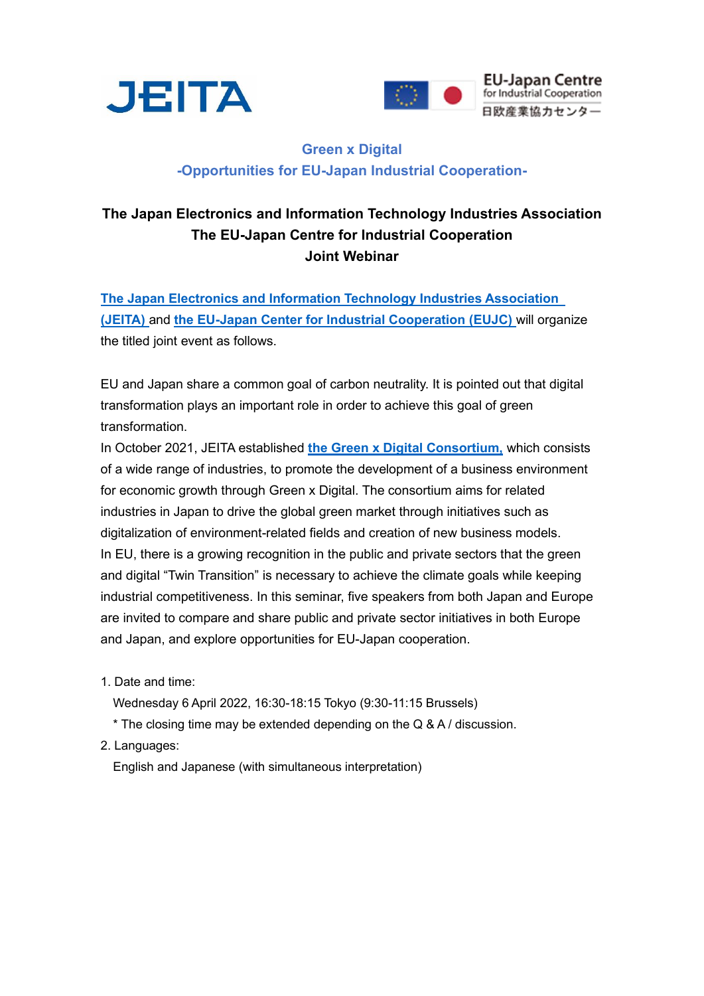



## **Green x Digital -Opportunities for EU-Japan Industrial Cooperation-**

## **The Japan Electronics and Information Technology Industries Association The EU-Japan Centre for Industrial Cooperation Joint Webinar**

**[The Japan Electronics and Information Technology Industries Association](https://www.jeita.or.jp/english/)  [\(JEITA\)](https://www.jeita.or.jp/english/)** and **[the EU-Japan Center for Industrial Cooperation](https://www.eu-japan.eu/) (EUJC)** will organize the titled joint event as follows.

EU and Japan share a common goal of carbon neutrality. It is pointed out that digital transformation plays an important role in order to achieve this goal of green transformation.

In October 2021, JEITA established **[the Green x Digital Consortium,](https://www.jeita.or.jp/english/press/2021/1019.pdf)** which consists of a wide range of industries, to promote the development of a business environment for economic growth through Green x Digital. The consortium aims for related industries in Japan to drive the global green market through initiatives such as digitalization of environment-related fields and creation of new business models. In EU, there is a growing recognition in the public and private sectors that the green and digital "Twin Transition" is necessary to achieve the climate goals while keeping industrial competitiveness. In this seminar, five speakers from both Japan and Europe are invited to compare and share public and private sector initiatives in both Europe and Japan, and explore opportunities for EU-Japan cooperation.

- 1. Date and time:
	- Wednesday 6 April 2022, 16:30-18:15 Tokyo (9:30-11:15 Brussels)
	- \* The closing time may be extended depending on the Q & A / discussion.
- 2. Languages:

English and Japanese (with simultaneous interpretation)